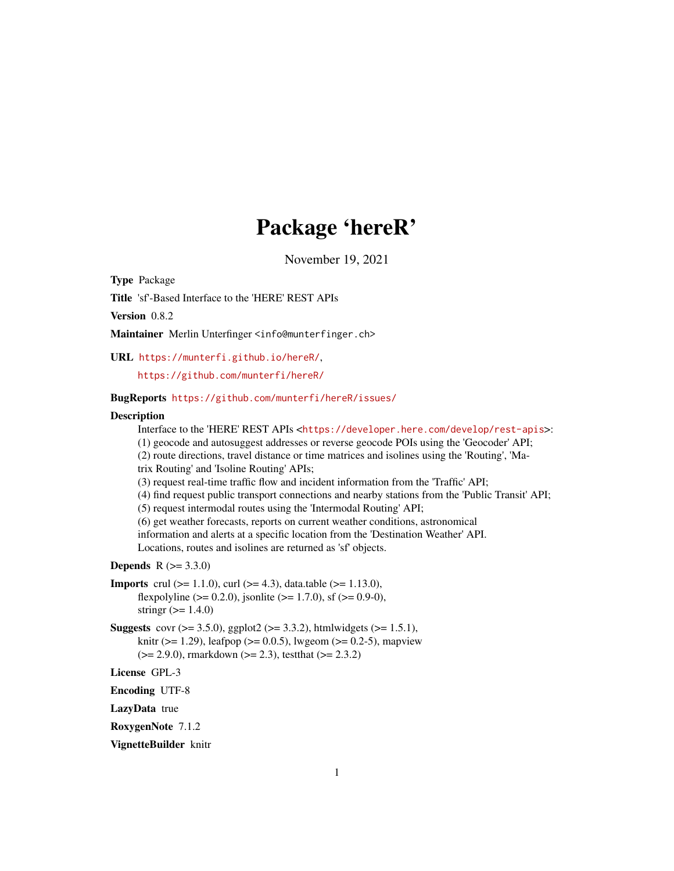# Package 'hereR'

November 19, 2021

Type Package

Title 'sf'-Based Interface to the 'HERE' REST APIs

Version 0.8.2

Maintainer Merlin Unterfinger <info@munterfinger.ch>

URL <https://munterfi.github.io/hereR/>,

<https://github.com/munterfi/hereR/>

### BugReports <https://github.com/munterfi/hereR/issues/>

### **Description**

Interface to the 'HERE' REST APIs <<https://developer.here.com/develop/rest-apis>>: (1) geocode and autosuggest addresses or reverse geocode POIs using the 'Geocoder' API; (2) route directions, travel distance or time matrices and isolines using the 'Routing', 'Matrix Routing' and 'Isoline Routing' APIs; (3) request real-time traffic flow and incident information from the 'Traffic' API; (4) find request public transport connections and nearby stations from the 'Public Transit' API; (5) request intermodal routes using the 'Intermodal Routing' API; (6) get weather forecasts, reports on current weather conditions, astronomical information and alerts at a specific location from the 'Destination Weather' API. Locations, routes and isolines are returned as 'sf' objects. **Depends**  $R (= 3.3.0)$ **Imports** crul ( $>= 1.1.0$ ), curl ( $>= 4.3$ ), data.table ( $>= 1.13.0$ ), flexpolyline ( $> = 0.2.0$ ), jsonlite ( $> = 1.7.0$ ), sf ( $> = 0.9-0$ ), stringr  $(>= 1.4.0)$ **Suggests** covr ( $>= 3.5.0$ ), ggplot2 ( $>= 3.3.2$ ), htmlwidgets ( $>= 1.5.1$ ), knitr ( $>= 1.29$ ), leafpop ( $>= 0.0.5$ ), lwgeom ( $>= 0.2-5$ ), mapview  $(>= 2.9.0)$ , rmarkdown  $(>= 2.3)$ , testthat  $(>= 2.3.2)$ License GPL-3 Encoding UTF-8 LazyData true

RoxygenNote 7.1.2

VignetteBuilder knitr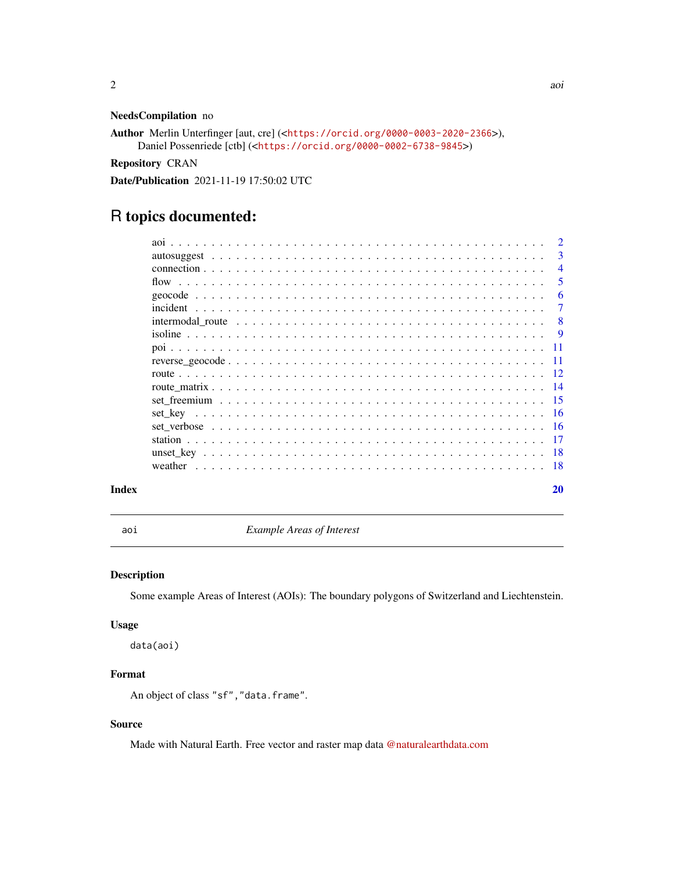### <span id="page-1-0"></span>NeedsCompilation no

```
Author Merlin Unterfinger [aut, cre] (<https://orcid.org/0000-0003-2020-2366>),
     Daniel Possenriede [ctb] (<https://orcid.org/0000-0002-6738-9845>)
```
Repository CRAN

Date/Publication 2021-11-19 17:50:02 UTC

## R topics documented:

|       |                                                                                                               | $\overline{3}$ |
|-------|---------------------------------------------------------------------------------------------------------------|----------------|
|       |                                                                                                               | $\overline{4}$ |
|       |                                                                                                               | - 5            |
|       |                                                                                                               | -6             |
|       |                                                                                                               |                |
|       | intermodal route $\ldots \ldots \ldots \ldots \ldots \ldots \ldots \ldots \ldots \ldots \ldots \ldots \ldots$ | - 8            |
|       |                                                                                                               |                |
|       |                                                                                                               |                |
|       |                                                                                                               |                |
|       |                                                                                                               |                |
|       |                                                                                                               |                |
|       |                                                                                                               |                |
|       |                                                                                                               |                |
|       |                                                                                                               |                |
|       |                                                                                                               |                |
|       |                                                                                                               |                |
|       |                                                                                                               |                |
| Index |                                                                                                               | 20             |

aoi *Example Areas of Interest*

### Description

Some example Areas of Interest (AOIs): The boundary polygons of Switzerland and Liechtenstein.

### Usage

data(aoi)

### Format

An object of class "sf", "data.frame".

### Source

Made with Natural Earth. Free vector and raster map data [@naturalearthdata.com](https://raw.githubusercontent.com/datasets/geo-countries/master/data/countries.geojson)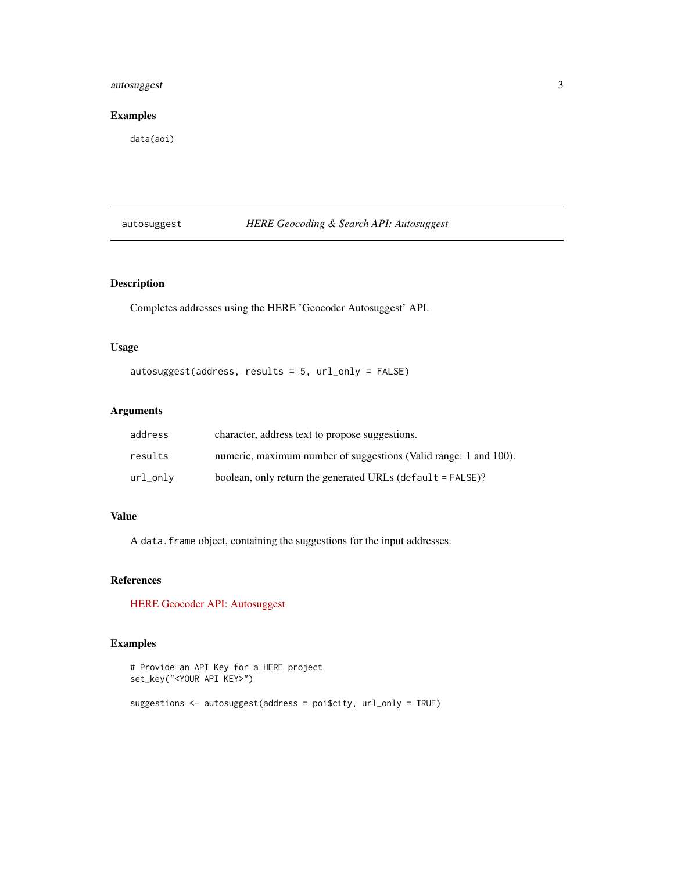### <span id="page-2-0"></span>autosuggest 3

### Examples

data(aoi)

### autosuggest *HERE Geocoding & Search API: Autosuggest*

### Description

Completes addresses using the HERE 'Geocoder Autosuggest' API.

### Usage

autosuggest(address, results = 5, url\_only = FALSE)

### Arguments

| address  | character, address text to propose suggestions.                  |
|----------|------------------------------------------------------------------|
| results  | numeric, maximum number of suggestions (Valid range: 1 and 100). |
| url_only | boolean, only return the generated URLs (default $=$ FALSE)?     |

### Value

A data.frame object, containing the suggestions for the input addresses.

### References

[HERE Geocoder API: Autosuggest](https://developer.here.com/documentation/geocoding-search-api/dev_guide/topics/endpoint-autosuggest-brief.html)

### Examples

```
# Provide an API Key for a HERE project
set_key("<YOUR API KEY>")
suggestions <- autosuggest(address = poi$city, url_only = TRUE)
```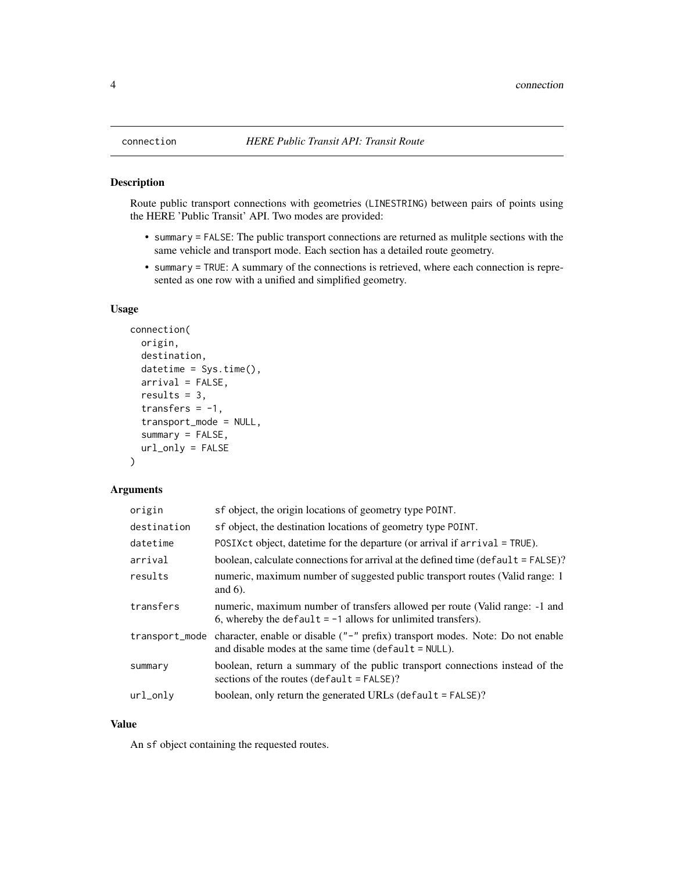### Description

Route public transport connections with geometries (LINESTRING) between pairs of points using the HERE 'Public Transit' API. Two modes are provided:

- summary = FALSE: The public transport connections are returned as mulitple sections with the same vehicle and transport mode. Each section has a detailed route geometry.
- summary = TRUE: A summary of the connections is retrieved, where each connection is represented as one row with a unified and simplified geometry.

### Usage

```
connection(
 origin,
 destination,
 datetime = Sys.time(),
  arrival = FALSE,results = 3,
  transfers = -1,
  transport_mode = NULL,
  summary = FALSE,
 url_only = FALSE
\lambda
```
### Arguments

| origin      | sf object, the origin locations of geometry type POINT.                                                                                                   |
|-------------|-----------------------------------------------------------------------------------------------------------------------------------------------------------|
| destination | sf object, the destination locations of geometry type POINT.                                                                                              |
| datetime    | POSIX ct object, date time for the departure (or arrival if $arrival = TRUE$ ).                                                                           |
| arrival     | boolean, calculate connections for arrival at the defined time (default = FALSE)?                                                                         |
| results     | numeric, maximum number of suggested public transport routes (Valid range: 1)<br>and $6$ ).                                                               |
| transfers   | numeric, maximum number of transfers allowed per route (Valid range: -1 and<br>6, whereby the default $= -1$ allows for unlimited transfers).             |
|             | transport_mode character, enable or disable ("-" prefix) transport modes. Note: Do not enable<br>and disable modes at the same time ( $default = NULL$ ). |
| summary     | boolean, return a summary of the public transport connections instead of the<br>sections of the routes $(\text{default} = \text{FALSE})$ ?                |
| url_onlv    | boolean, only return the generated URLs (default $=$ FALSE)?                                                                                              |

### Value

An sf object containing the requested routes.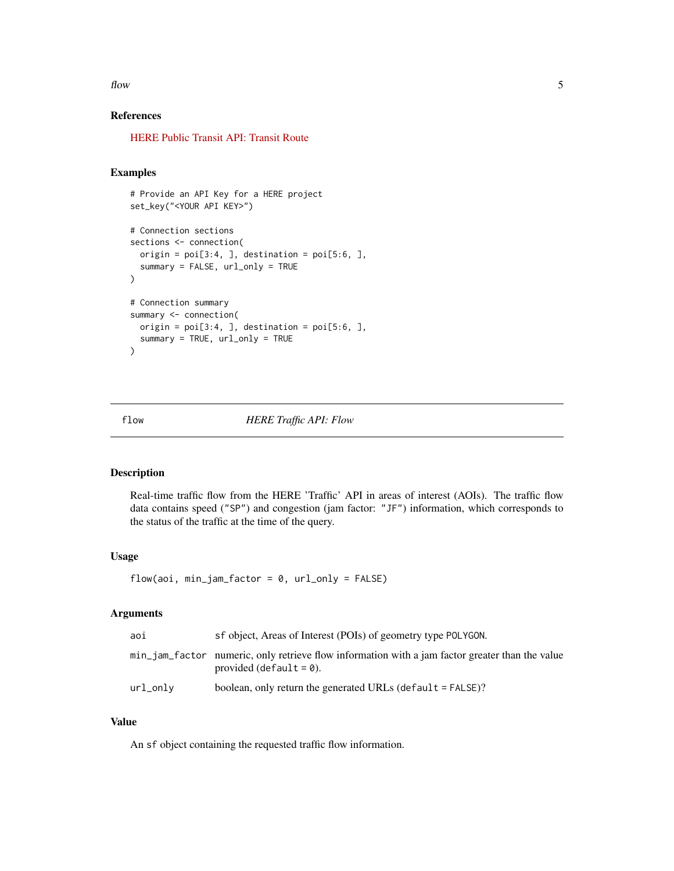<span id="page-4-0"></span> $f$  flow  $5$ 

### References

[HERE Public Transit API: Transit Route](https://developer.here.com/documentation/public-transit/dev_guide/routing/index.html)

### Examples

```
# Provide an API Key for a HERE project
set_key("<YOUR API KEY>")
# Connection sections
sections <- connection(
  origin = poi[3:4, ], destination = poi[5:6, ],
  summary = FALSE, url_only = TRUE
)
# Connection summary
summary <- connection(
 origin = poi[3:4, ], destination = poi[5:6, ],
  summary = TRUE, url_only = TRUE
\mathcal{L}
```
flow *HERE Traffic API: Flow*

### Description

Real-time traffic flow from the HERE 'Traffic' API in areas of interest (AOIs). The traffic flow data contains speed ("SP") and congestion (jam factor: "JF") information, which corresponds to the status of the traffic at the time of the query.

### Usage

```
flow(aoi, min_jam_factor = 0, url\_only = FALSE)
```
### Arguments

| aoi      | sf object, Areas of Interest (POIs) of geometry type POLYGON.                                                                 |
|----------|-------------------------------------------------------------------------------------------------------------------------------|
|          | min_jam_factor numeric, only retrieve flow information with a jam factor greater than the value<br>provided (default $= 0$ ). |
| url_only | boolean, only return the generated URLs (default $=$ FALSE)?                                                                  |

### Value

An sf object containing the requested traffic flow information.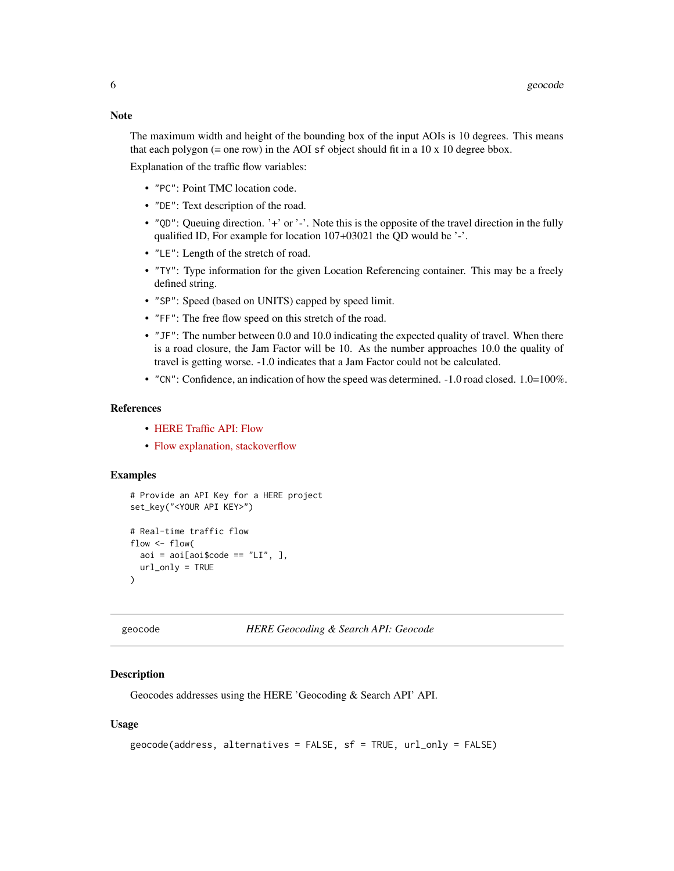<span id="page-5-0"></span>**Note** 

The maximum width and height of the bounding box of the input AOIs is 10 degrees. This means that each polygon  $(=$  one row) in the AOI sf object should fit in a 10 x 10 degree bbox.

Explanation of the traffic flow variables:

- "PC": Point TMC location code.
- "DE": Text description of the road.
- "QD": Queuing direction. '+' or '-'. Note this is the opposite of the travel direction in the fully qualified ID, For example for location 107+03021 the QD would be '-'.
- "LE": Length of the stretch of road.
- "TY": Type information for the given Location Referencing container. This may be a freely defined string.
- "SP": Speed (based on UNITS) capped by speed limit.
- "FF": The free flow speed on this stretch of the road.
- "JF": The number between 0.0 and 10.0 indicating the expected quality of travel. When there is a road closure, the Jam Factor will be 10. As the number approaches 10.0 the quality of travel is getting worse. -1.0 indicates that a Jam Factor could not be calculated.
- "CN": Confidence, an indication of how the speed was determined. -1.0 road closed. 1.0=100%.

### References

- [HERE Traffic API: Flow](https://developer.here.com/documentation/traffic/dev_guide/topics_v6.1/resource-parameters-flow.html)
- [Flow explanation, stackoverflow](https://stackoverflow.com/questions/28476762/reading-traffic-flow-data-from-here-maps-rest-api)

### Examples

```
# Provide an API Key for a HERE project
set_key("<YOUR API KEY>")
# Real-time traffic flow
flow <- flow(
 aoi = aoi[aoi$code == "LI", ],
 url_only = TRUE
\lambda
```
geocode *HERE Geocoding & Search API: Geocode*

### Description

Geocodes addresses using the HERE 'Geocoding & Search API' API.

### Usage

```
geocode(address, alternatives = FALSE, sf = TRUE, url_only = FALSE)
```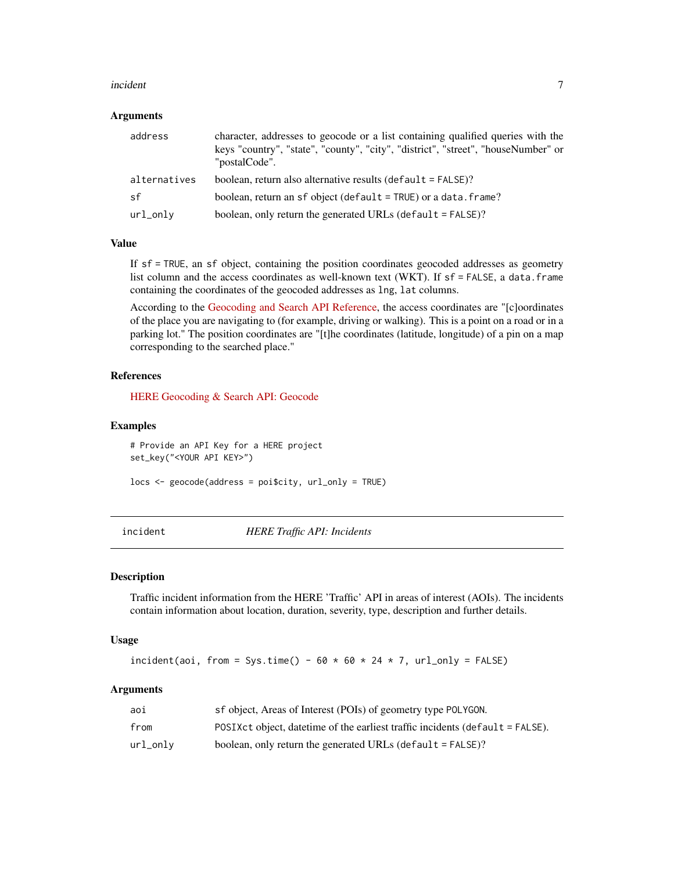### <span id="page-6-0"></span>incident 7 and 7 and 7 and 7 and 7 and 7 and 7 and 7 and 7 and 7 and 7 and 7 and 7 and 7 and 7 and 7 and 7 and 7 and 7 and 7 and 7 and 7 and 7 and 7 and 7 and 7 and 7 and 7 and 7 and 7 and 7 and 7 and 7 and 7 and 7 and 7 a

### **Arguments**

| address      | character, addresses to geocode or a list containing qualified queries with the<br>keys "country", "state", "county", "city", "district", "street", "houseNumber" or<br>"postalCode". |
|--------------|---------------------------------------------------------------------------------------------------------------------------------------------------------------------------------------|
| alternatives | boolean, return also alternative results (default $=$ FALSE)?                                                                                                                         |
| sf           | boolean, return an sf object (default = TRUE) or a data. frame?                                                                                                                       |
| url_onlv     | boolean, only return the generated URLs (default $=$ FALSE)?                                                                                                                          |

### Value

If sf = TRUE, an sf object, containing the position coordinates geocoded addresses as geometry list column and the access coordinates as well-known text (WKT). If sf = FALSE, a data.frame containing the coordinates of the geocoded addresses as lng, lat columns.

According to the [Geocoding and Search API Reference,](https://developer.here.com/documentation/geocoding-search-api/api-reference-swagger.html) the access coordinates are "[c]oordinates of the place you are navigating to (for example, driving or walking). This is a point on a road or in a parking lot." The position coordinates are "[t]he coordinates (latitude, longitude) of a pin on a map corresponding to the searched place."

### References

[HERE Geocoding & Search API: Geocode](https://developer.here.com/documentation/geocoding-search-api/dev_guide/index.html)

### Examples

# Provide an API Key for a HERE project set\_key("<YOUR API KEY>")

locs <- geocode(address = poi\$city, url\_only = TRUE)

incident *HERE Traffic API: Incidents*

### Description

Traffic incident information from the HERE 'Traffic' API in areas of interest (AOIs). The incidents contain information about location, duration, severity, type, description and further details.

### Usage

incident(aoi, from = Sys.time() -  $60 \times 60 \times 24 \times 7$ , url\_only = FALSE)

### Arguments

| aoi      | sf object, Areas of Interest (POIs) of geometry type POLYGON.                     |
|----------|-----------------------------------------------------------------------------------|
| from     | POSIX ct object, date time of the earliest traffic incidents (default $=$ FALSE). |
| url_onlv | boolean, only return the generated URLs (default $=$ FALSE)?                      |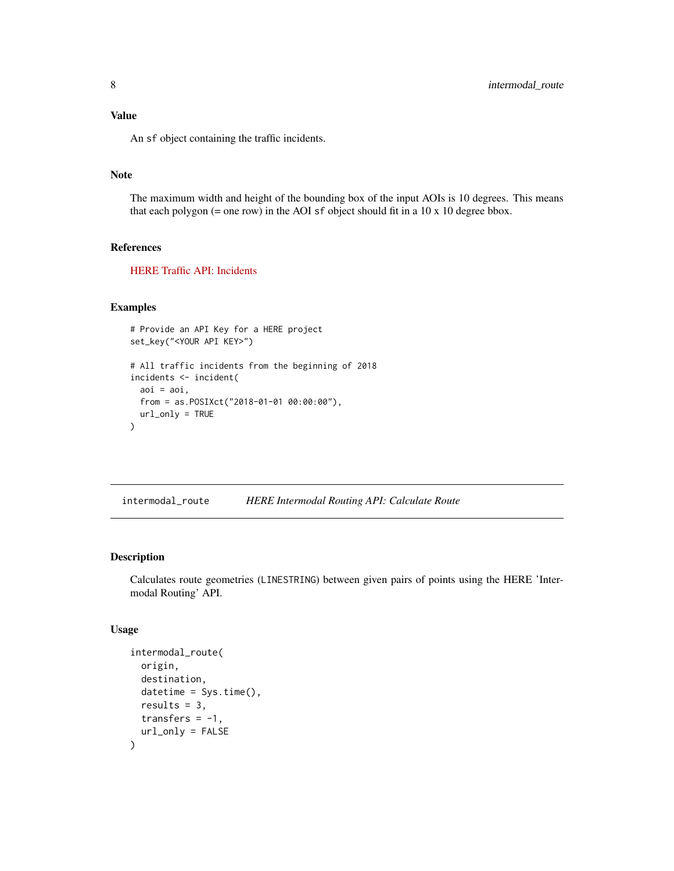<span id="page-7-0"></span>Value

An sf object containing the traffic incidents.

### Note

The maximum width and height of the bounding box of the input AOIs is 10 degrees. This means that each polygon  $(=$  one row) in the AOI sf object should fit in a 10 x 10 degree bbox.

### References

[HERE Traffic API: Incidents](https://developer.here.com/documentation/traffic/dev_guide/topics/resource-parameters-incidents.html)

### Examples

```
# Provide an API Key for a HERE project
set_key("<YOUR API KEY>")
# All traffic incidents from the beginning of 2018
incidents <- incident(
 aoi = aoi,
 from = as.POSIXct("2018-01-01 00:00:00"),
 url_only = TRUE
)
```
intermodal\_route *HERE Intermodal Routing API: Calculate Route*

### Description

Calculates route geometries (LINESTRING) between given pairs of points using the HERE 'Intermodal Routing' API.

### Usage

```
intermodal_route(
 origin,
  destination,
 datetime = Sys.time(),
  results = 3,
 transfers = -1,
  url_only = FALSE
)
```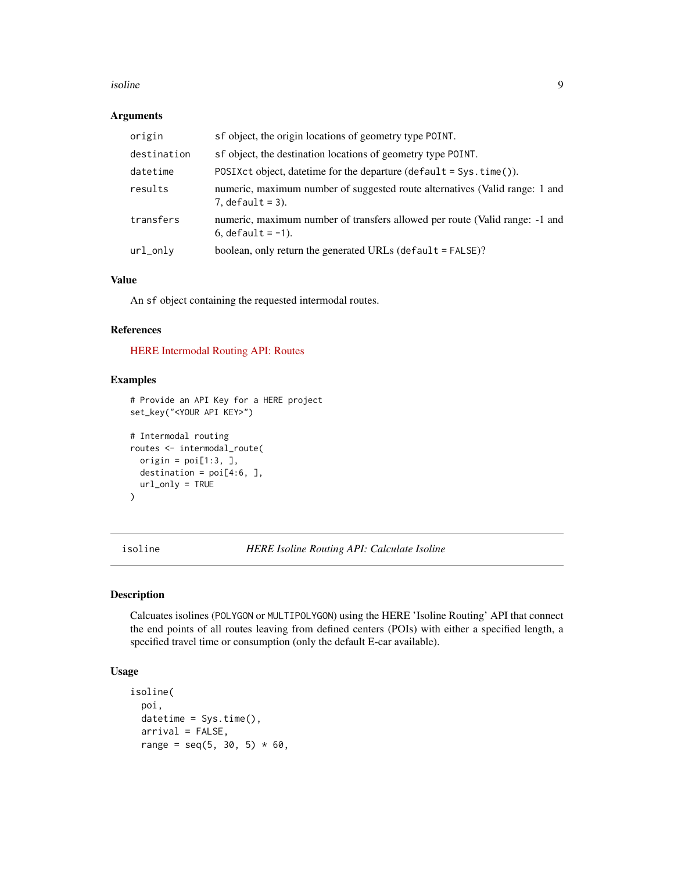### <span id="page-8-0"></span>isoline 9

### Arguments

| origin      | sf object, the origin locations of geometry type POINT.                                             |
|-------------|-----------------------------------------------------------------------------------------------------|
| destination | sf object, the destination locations of geometry type POINT.                                        |
| datetime    | POSIX ct object, date time for the departure $(\text{default} = \text{Sys} \cdot \text{time})).$    |
| results     | numeric, maximum number of suggested route alternatives (Valid range: 1 and<br>$7.$ default = 3).   |
| transfers   | numeric, maximum number of transfers allowed per route (Valid range: -1 and<br>6, $default = -1$ ). |
| url_only    | boolean, only return the generated URLs (default = FALSE)?                                          |

### Value

An sf object containing the requested intermodal routes.

### References

[HERE Intermodal Routing API: Routes](https://developer.here.com/documentation/intermodal-routing/dev_guide/index.html)

### Examples

```
# Provide an API Key for a HERE project
set_key("<YOUR API KEY>")
# Intermodal routing
routes <- intermodal_route(
 origin = poi[1:3, 1, 1]destination = poi[4:6, ],
 url_only = TRUE
\mathcal{L}
```
isoline *HERE Isoline Routing API: Calculate Isoline*

### Description

Calcuates isolines (POLYGON or MULTIPOLYGON) using the HERE 'Isoline Routing' API that connect the end points of all routes leaving from defined centers (POIs) with either a specified length, a specified travel time or consumption (only the default E-car available).

### Usage

```
isoline(
 poi,
 datetime = Sys.time(),
  arrival = FALSE,range = seq(5, 30, 5) * 60,
```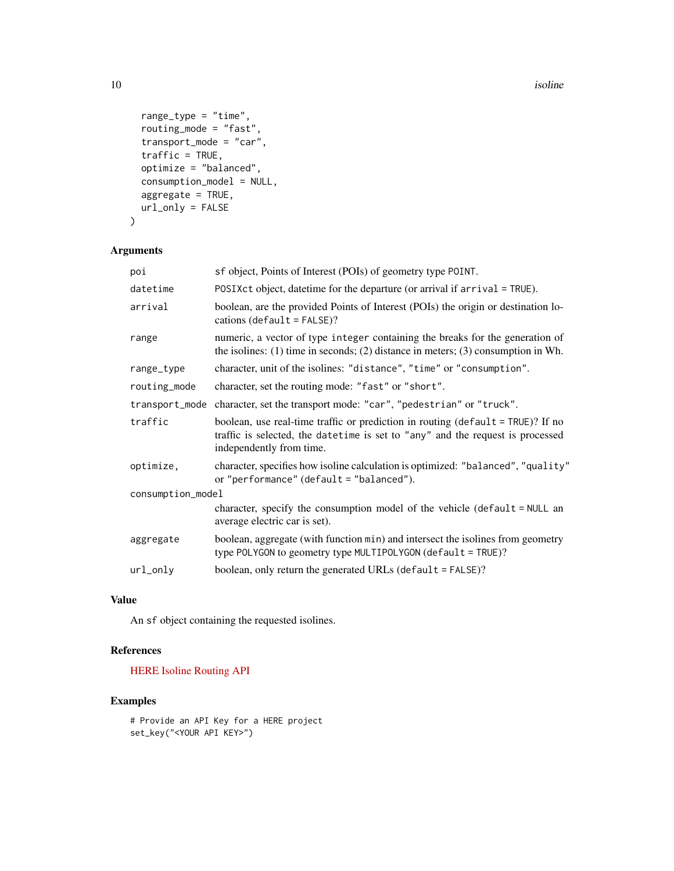10 isoline to the set of the set of the set of the set of the set of the set of the set of the set of the set of the set of the set of the set of the set of the set of the set of the set of the set of the set of the set of

```
range_type = "time",
 routing_mode = "fast",
 transport_mode = "car",
 traffic = TRUE,
 optimize = "balanced",
 consumption_model = NULL,
 aggregate = TRUE,
 url_only = FALSE
)
```
### Arguments

| poi               | sf object, Points of Interest (POIs) of geometry type POINT.                                                                                                                                      |  |
|-------------------|---------------------------------------------------------------------------------------------------------------------------------------------------------------------------------------------------|--|
| datetime          | POSIXct object, date time for the departure (or arrival if arrival = TRUE).                                                                                                                       |  |
| arrival           | boolean, are the provided Points of Interest (POIs) the origin or destination lo-<br>cations $(\text{default} = \text{FALSE})$ ?                                                                  |  |
| range             | numeric, a vector of type integer containing the breaks for the generation of<br>the isolines: $(1)$ time in seconds; $(2)$ distance in meters; $(3)$ consumption in Wh.                          |  |
| range_type        | character, unit of the isolines: "distance", "time" or "consumption".                                                                                                                             |  |
| routing_mode      | character, set the routing mode: "fast" or "short".                                                                                                                                               |  |
| transport_mode    | character, set the transport mode: "car", "pedestrian" or "truck".                                                                                                                                |  |
| traffic           | boolean, use real-time traffic or prediction in routing ( $default = TRUE$ )? If no<br>traffic is selected, the datetime is set to "any" and the request is processed<br>independently from time. |  |
| optimize,         | character, specifies how isoline calculation is optimized: "balanced", "quality"<br>or "performance" (default = "balanced").                                                                      |  |
| consumption_model |                                                                                                                                                                                                   |  |
|                   | character, specify the consumption model of the vehicle (default = NULL an<br>average electric car is set).                                                                                       |  |
| aggregate         | boolean, aggregate (with function min) and intersect the isolines from geometry<br>type POLYGON to geometry type MULTIPOLYGON (default = TRUE)?                                                   |  |
| url_only          | boolean, only return the generated URLs (default = FALSE)?                                                                                                                                        |  |
|                   |                                                                                                                                                                                                   |  |

### Value

An sf object containing the requested isolines.

### References

[HERE Isoline Routing API](https://developer.here.com/documentation/isoline-routing-api/dev_guide/index.html)

### Examples

# Provide an API Key for a HERE project set\_key("<YOUR API KEY>")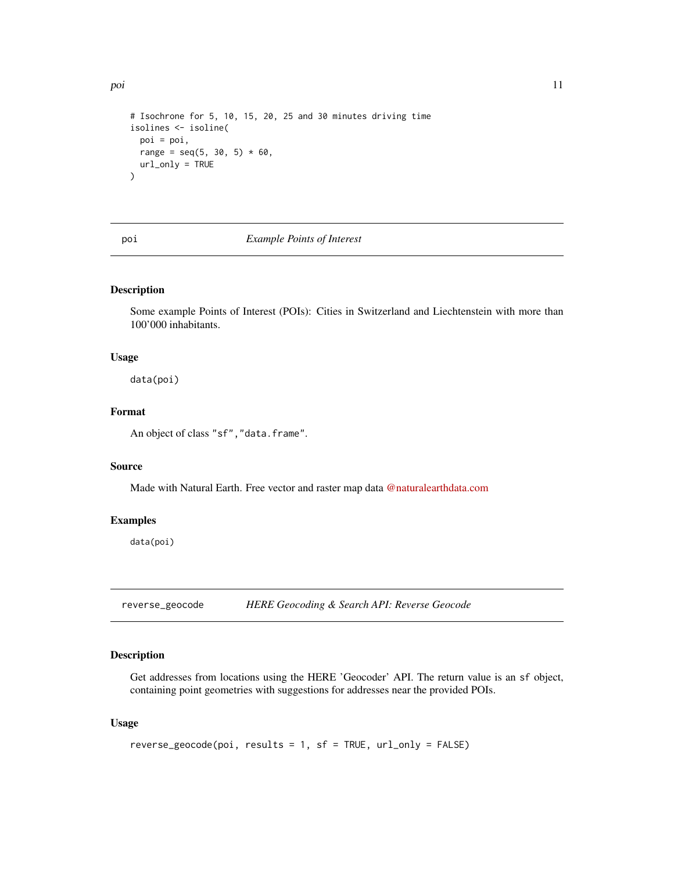```
# Isochrone for 5, 10, 15, 20, 25 and 30 minutes driving time
isolines <- isoline(
  poi = poi,
 range = seq(5, 30, 5) * 60,
  url_only = TRUE
)
```
### poi *Example Points of Interest*

### Description

Some example Points of Interest (POIs): Cities in Switzerland and Liechtenstein with more than 100'000 inhabitants.

### Usage

data(poi)

### Format

An object of class "sf", "data.frame".

### Source

Made with Natural Earth. Free vector and raster map data [@naturalearthdata.com](https://raw.githubusercontent.com/nvkelso/natural-earth-vector/master/geojson/ne_10m_populated_places_simple.geojson)

### Examples

data(poi)

reverse\_geocode *HERE Geocoding & Search API: Reverse Geocode*

### Description

Get addresses from locations using the HERE 'Geocoder' API. The return value is an sf object, containing point geometries with suggestions for addresses near the provided POIs.

### Usage

```
reverse_geocode(poi, results = 1, sf = TRUE, url_only = FALSE)
```
<span id="page-10-0"></span>poi de la 11 de junho de la contrada de la contrada de la contrada de la contrada de la contrada de la contrad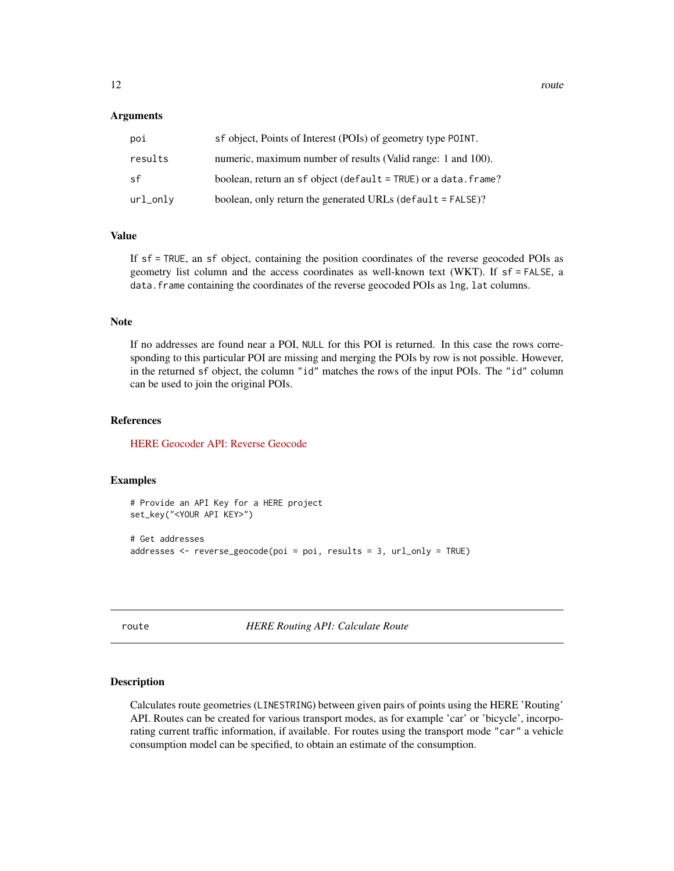### <span id="page-11-0"></span>Arguments

| poi      | sf object, Points of Interest (POIs) of geometry type POINT.    |
|----------|-----------------------------------------------------------------|
| results  | numeric, maximum number of results (Valid range: 1 and 100).    |
| sf       | boolean, return an sf object (default = TRUE) or a data. frame? |
| url_onlv | boolean, only return the generated URLs (default $=$ FALSE)?    |

### Value

If sf = TRUE, an sf object, containing the position coordinates of the reverse geocoded POIs as geometry list column and the access coordinates as well-known text (WKT). If sf = FALSE, a data.frame containing the coordinates of the reverse geocoded POIs as lng, lat columns.

### Note

If no addresses are found near a POI, NULL for this POI is returned. In this case the rows corresponding to this particular POI are missing and merging the POIs by row is not possible. However, in the returned sf object, the column "id" matches the rows of the input POIs. The "id" column can be used to join the original POIs.

### References

[HERE Geocoder API: Reverse Geocode](https://developer.here.com/documentation/geocoding-search-api/dev_guide/topics/endpoint-reverse-geocode-brief.html)

### Examples

```
# Provide an API Key for a HERE project
set_key("<YOUR API KEY>")
# Get addresses
```

```
addresses <- reverse_geocode(poi = poi, results = 3, url_only = TRUE)
```
route *HERE Routing API: Calculate Route*

### Description

Calculates route geometries (LINESTRING) between given pairs of points using the HERE 'Routing' API. Routes can be created for various transport modes, as for example 'car' or 'bicycle', incorporating current traffic information, if available. For routes using the transport mode "car" a vehicle consumption model can be specified, to obtain an estimate of the consumption.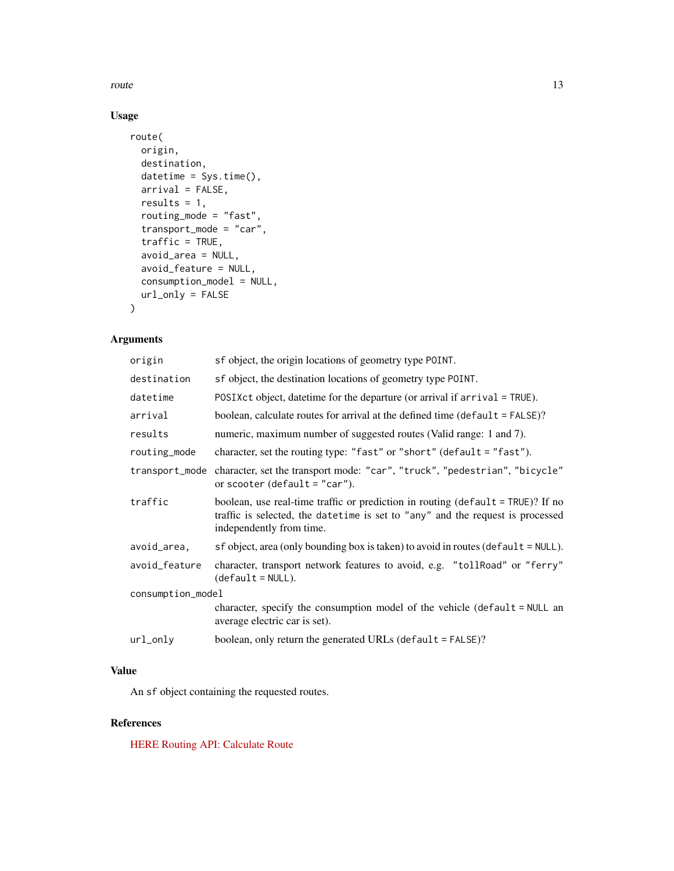route that the contract of the contract of the contract of the contract of the contract of the contract of the contract of the contract of the contract of the contract of the contract of the contract of the contract of the

### Usage

```
route(
 origin,
 destination,
 datetime = Sys.time(),
 arrival = FALSE,results = 1,
  routing_mode = "fast",
  transport_mode = "car",
  traffic = TRUE,
  avoid_area = NULL,
 avoid_feature = NULL,
 consumption_model = NULL,
 url_only = FALSE
\mathcal{L}
```
### Arguments

| sf object, the origin locations of geometry type POINT.                                                                                                                                           |  |  |
|---------------------------------------------------------------------------------------------------------------------------------------------------------------------------------------------------|--|--|
| sf object, the destination locations of geometry type POINT.                                                                                                                                      |  |  |
| POSIX ct object, date time for the departure (or arrival if $arrival = TRUE$ ).                                                                                                                   |  |  |
| boolean, calculate routes for arrival at the defined time (default = FALSE)?                                                                                                                      |  |  |
| numeric, maximum number of suggested routes (Valid range: 1 and 7).                                                                                                                               |  |  |
| character, set the routing type: "fast" or "short" (default = "fast").                                                                                                                            |  |  |
| character, set the transport mode: "car", "truck", "pedestrian", "bicycle"<br>transport_mode<br>or scooter (default = "car").                                                                     |  |  |
| boolean, use real-time traffic or prediction in routing ( $default = TRUE$ )? If no<br>traffic is selected, the datetime is set to "any" and the request is processed<br>independently from time. |  |  |
| $sf object, area (only bounding box is taken) to avoid in routes (default = NULL).$                                                                                                               |  |  |
| character, transport network features to avoid, e.g. "tollRoad" or "ferry"<br>$(detault = NULL).$                                                                                                 |  |  |
| consumption_model                                                                                                                                                                                 |  |  |
| character, specify the consumption model of the vehicle (default = NULL an<br>average electric car is set).                                                                                       |  |  |
| boolean, only return the generated URLs (default = FALSE)?                                                                                                                                        |  |  |
|                                                                                                                                                                                                   |  |  |

### Value

An sf object containing the requested routes.

### References

[HERE Routing API: Calculate Route](https://developer.here.com/documentation/routing-api/dev_guide/index.html)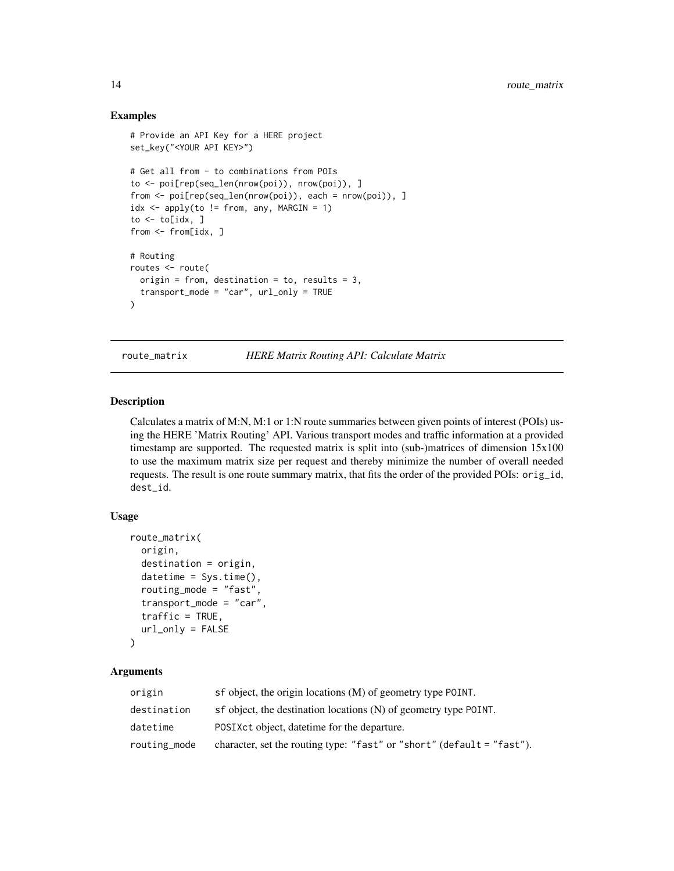### Examples

```
# Provide an API Key for a HERE project
set_key("<YOUR API KEY>")
# Get all from - to combinations from POIs
to <- poi[rep(seq_len(nrow(poi)), nrow(poi)), ]
from <- poi[rep(seq_len(nrow(poi)), each = nrow(poi)), ]
idx \leq apply(to != from, any, MARGIN = 1)to \leq to[idx, ]
from <- from[idx, ]
# Routing
routes <- route(
 origin = from, destination = to, results = 3,
  transport_mode = "car", url_only = TRUE
\mathcal{L}
```
route\_matrix *HERE Matrix Routing API: Calculate Matrix*

### Description

Calculates a matrix of M:N, M:1 or 1:N route summaries between given points of interest (POIs) using the HERE 'Matrix Routing' API. Various transport modes and traffic information at a provided timestamp are supported. The requested matrix is split into (sub-)matrices of dimension 15x100 to use the maximum matrix size per request and thereby minimize the number of overall needed requests. The result is one route summary matrix, that fits the order of the provided POIs: orig\_id, dest\_id.

### Usage

```
route_matrix(
  origin,
  destination = origin,
  datetime = Sys.time(),
  routing_mode = "fast",
  transport_mode = "car",
  traffic = TRUE,
  url_only = FALSE
\lambda
```
### Arguments

| origin       | sf object, the origin locations (M) of geometry type POINT.            |
|--------------|------------------------------------------------------------------------|
| destination  | sf object, the destination locations (N) of geometry type POINT.       |
| datetime     | POSIX ct object, date time for the departure.                          |
| routing_mode | character, set the routing type: "fast" or "short" (default = "fast"). |

<span id="page-13-0"></span>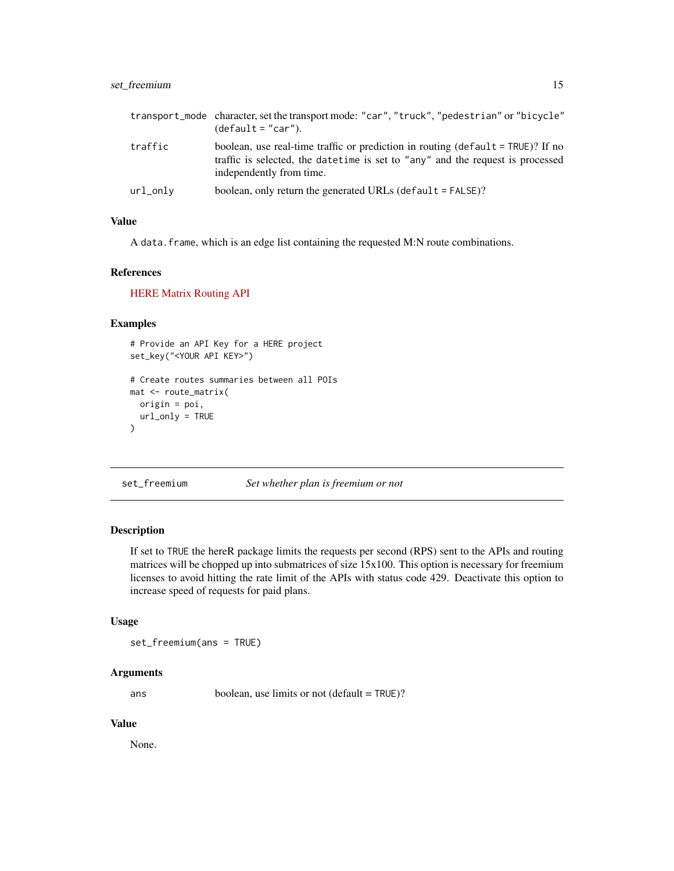### <span id="page-14-0"></span>set\_freemium 15

|          | transport_mode character, set the transport mode: "car", "truck", "pedestrian" or "bicycle"<br>$(detault = "car").$                                                                                |
|----------|----------------------------------------------------------------------------------------------------------------------------------------------------------------------------------------------------|
| traffic  | boolean, use real-time traffic or prediction in routing ( $default = TRUE$ )? If no<br>traffic is selected, the date time is set to "any" and the request is processed<br>independently from time. |
| url_onlv | boolean, only return the generated URLs (default $=$ FALSE)?                                                                                                                                       |

### Value

A data. frame, which is an edge list containing the requested M:N route combinations.

### References

[HERE Matrix Routing API](https://developer.here.com/documentation/matrix-routing-api/dev_guide/index.html)

### Examples

```
# Provide an API Key for a HERE project
set_key("<YOUR API KEY>")
# Create routes summaries between all POIs
mat <- route_matrix(
  origin = poi,
  url_only = TRUE
\mathcal{L}
```
set\_freemium *Set whether plan is freemium or not*

### Description

If set to TRUE the hereR package limits the requests per second (RPS) sent to the APIs and routing matrices will be chopped up into submatrices of size 15x100. This option is necessary for freemium licenses to avoid hitting the rate limit of the APIs with status code 429. Deactivate this option to increase speed of requests for paid plans.

### Usage

set\_freemium(ans = TRUE)

### Arguments

ans boolean, use limits or not (default = TRUE)?

### Value

None.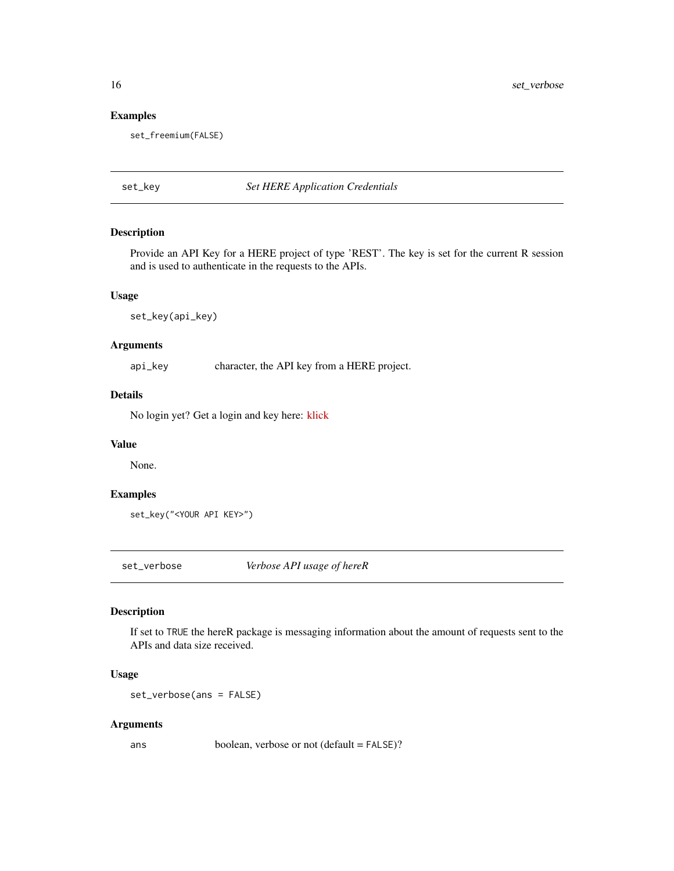<span id="page-15-0"></span>16 set\_verbose

### Examples

set\_freemium(FALSE)

set\_key *Set HERE Application Credentials*

### Description

Provide an API Key for a HERE project of type 'REST'. The key is set for the current R session and is used to authenticate in the requests to the APIs.

### Usage

set\_key(api\_key)

### Arguments

api\_key character, the API key from a HERE project.

### Details

No login yet? Get a login and key here: [klick](https://developer.here.com/)

### Value

None.

### Examples

```
set_key("<YOUR API KEY>")
```
set\_verbose *Verbose API usage of hereR*

### Description

If set to TRUE the hereR package is messaging information about the amount of requests sent to the APIs and data size received.

### Usage

set\_verbose(ans = FALSE)

### Arguments

ans boolean, verbose or not (default = FALSE)?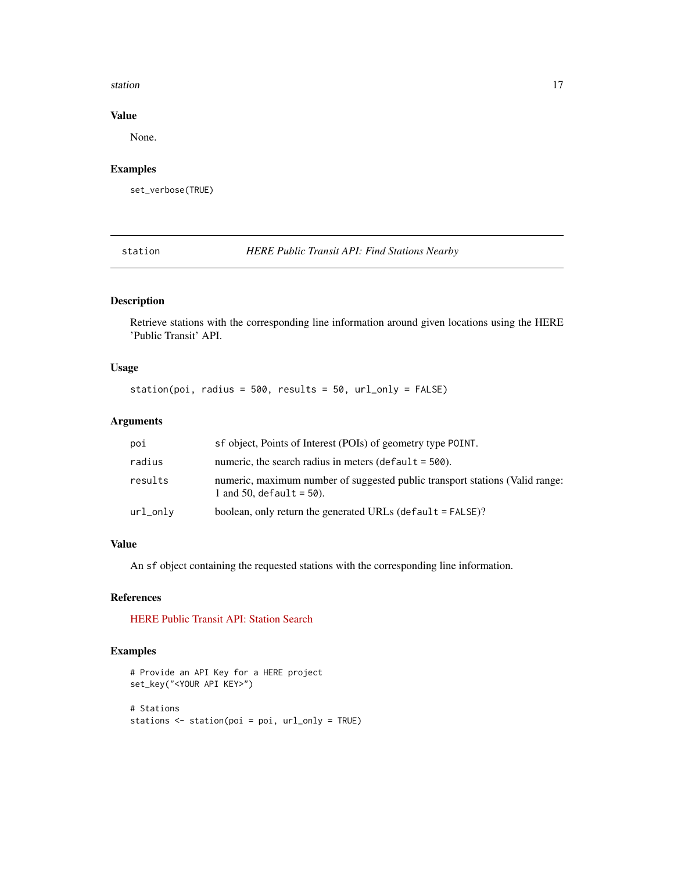### <span id="page-16-0"></span>station and the station of the station of the station of the station of the station of the station of the station of the station of the station of the station of the station of the station of the station of the station of

### Value

None.

### Examples

set\_verbose(TRUE)

station *HERE Public Transit API: Find Stations Nearby*

### Description

Retrieve stations with the corresponding line information around given locations using the HERE 'Public Transit' API.

### Usage

station(poi, radius = 500, results = 50, url\_only = FALSE)

### Arguments

| poi      | sf object, Points of Interest (POIs) of geometry type POINT.                                                |
|----------|-------------------------------------------------------------------------------------------------------------|
| radius   | numeric, the search radius in meters (default = $500$ ).                                                    |
| results  | numeric, maximum number of suggested public transport stations (Valid range:<br>1 and 50, default = $50$ ). |
| url_only | boolean, only return the generated URLs (default $=$ FALSE)?                                                |

### Value

An sf object containing the requested stations with the corresponding line information.

### References

[HERE Public Transit API: Station Search](https://developer.here.com/documentation/public-transit/dev_guide/station-search/index.html)

### Examples

```
# Provide an API Key for a HERE project
set_key("<YOUR API KEY>")
# Stations
stations <- station(poi = poi, url_only = TRUE)
```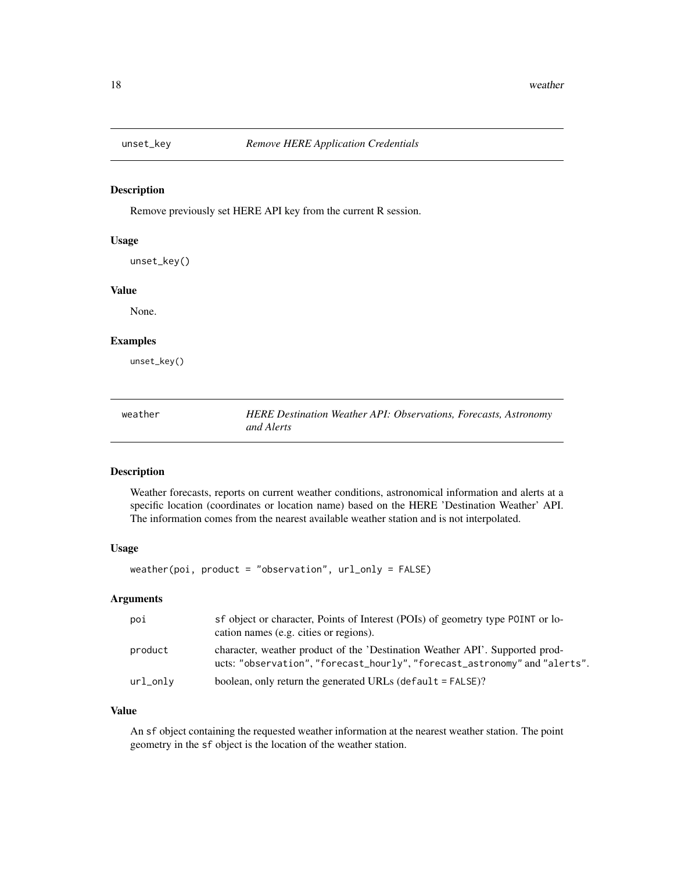<span id="page-17-0"></span>

### Description

Remove previously set HERE API key from the current R session.

### Usage

unset\_key()

### Value

None.

### Examples

unset\_key()

weather *HERE Destination Weather API: Observations, Forecasts, Astronomy and Alerts*

### Description

Weather forecasts, reports on current weather conditions, astronomical information and alerts at a specific location (coordinates or location name) based on the HERE 'Destination Weather' API. The information comes from the nearest available weather station and is not interpolated.

### Usage

```
weather(poi, product = "observation", url_only = FALSE)
```
### Arguments

| poi      | sf object or character, Points of Interest (POIs) of geometry type POINT or lo-<br>cation names (e.g. cities or regions).                                  |
|----------|------------------------------------------------------------------------------------------------------------------------------------------------------------|
| product  | character, weather product of the 'Destination Weather API'. Supported prod-<br>ucts: "observation", "forecast_hourly", "forecast_astronomy" and "alerts". |
| url_only | boolean, only return the generated URLs (default $=$ FALSE)?                                                                                               |

### Value

An sf object containing the requested weather information at the nearest weather station. The point geometry in the sf object is the location of the weather station.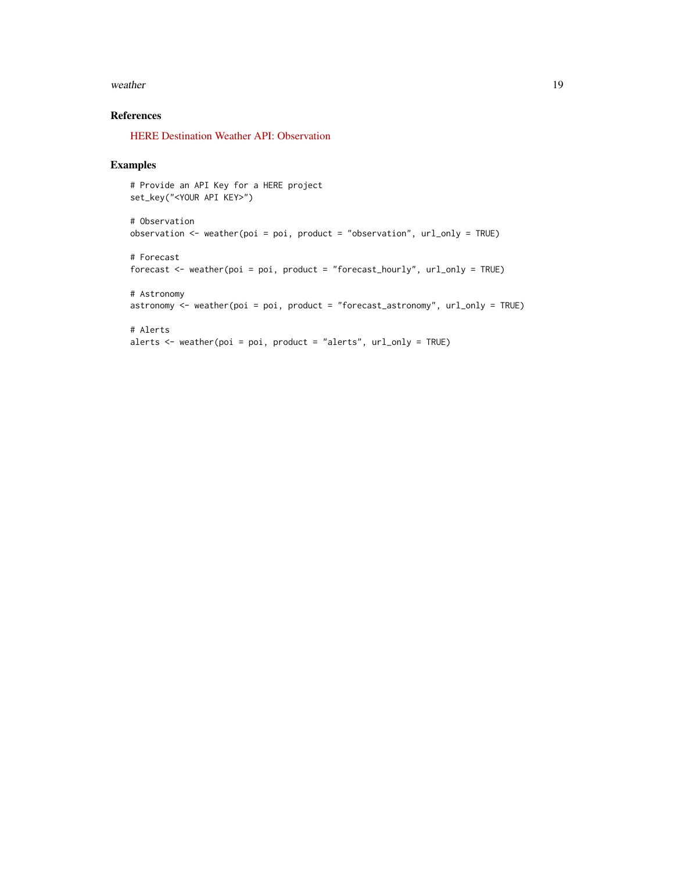### weather 19

### References

[HERE Destination Weather API: Observation](https://developer.here.com/documentation/destination-weather/dev_guide/topics/overview.html)

### Examples

```
# Provide an API Key for a HERE project
set_key("<YOUR API KEY>")
# Observation
observation <- weather(poi = poi, product = "observation", url_only = TRUE)
# Forecast
forecast <- weather(poi = poi, product = "forecast_hourly", url_only = TRUE)
# Astronomy
astronomy <- weather(poi = poi, product = "forecast_astronomy", url_only = TRUE)
# Alerts
alerts \leq weather(poi = poi, product = "alerts", url_only = TRUE)
```